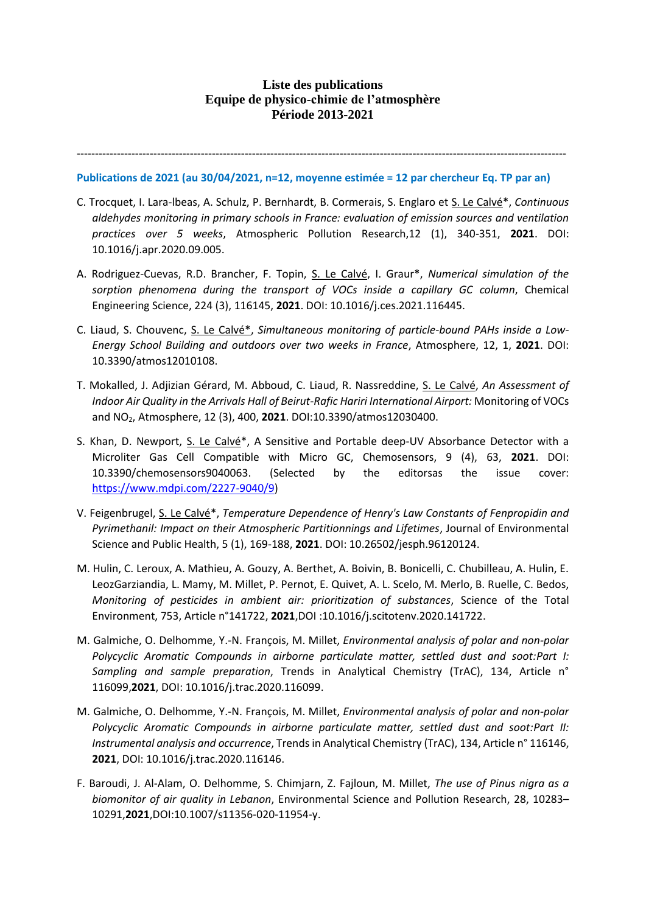# **Liste des publications Equipe de physico-chimie de l'atmosphère Période 2013-2021**

--------------------------------------------------------------------------------------------------------------------------------------

## **Publications de 2021 (au 30/04/2021, n=12, moyenne estimée = 12 par chercheur Eq. TP par an)**

- C. Trocquet, I. Lara-lbeas, A. Schulz, P. Bernhardt, B. Cormerais, S. Englaro et S. Le Calvé\*, *Continuous aldehydes monitoring in primary schools in France: evaluation of emission sources and ventilation practices over 5 weeks*, Atmospheric Pollution Research,12 (1), 340-351, **2021**. DOI: 10.1016/j.apr.2020.09.005.
- A. Rodriguez-Cuevas, R.D. Brancher, F. Topin, S. Le Calvé, I. Graur\*, *Numerical simulation of the sorption phenomena during the transport of VOCs inside a capillary GC column*, Chemical Engineering Science, 224 (3), 116145, **2021**. DOI: 10.1016/j.ces.2021.116445.
- C. Liaud, S. Chouvenc, S. Le Calvé\*, *Simultaneous monitoring of particle-bound PAHs inside a Low-Energy School Building and outdoors over two weeks in France*, Atmosphere, 12, 1, **2021**. DOI: 10.3390/atmos12010108.
- T. Mokalled, J. Adjizian Gérard, M. Abboud, C. Liaud, R. Nassreddine, S. Le Calvé, *An Assessment of Indoor Air Quality in the Arrivals Hall of Beirut-Rafic Hariri International Airport:* Monitoring of VOCs and NO2, Atmosphere, 12 (3), 400, **2021**. DOI:10.3390/atmos12030400.
- S. Khan, D. Newport, S. Le Calvé\*, A Sensitive and Portable deep-UV Absorbance Detector with a Microliter Gas Cell Compatible with Micro GC, Chemosensors, 9 (4), 63, **2021**. DOI: 10.3390/chemosensors9040063. (Selected by the editorsas the issue cover: [https://www.mdpi.com/2227-9040/9\)](https://www.mdpi.com/2227-9040/9)
- V. Feigenbrugel, S. Le Calvé\*, *Temperature Dependence of Henry's Law Constants of Fenpropidin and Pyrimethanil: Impact on their Atmospheric Partitionnings and Lifetimes*, Journal of Environmental Science and Public Health, 5 (1), 169-188, **2021**. DOI: 10.26502/jesph.96120124.
- M. Hulin, C. Leroux, A. Mathieu, A. Gouzy, A. Berthet, A. Boivin, B. Bonicelli, C. Chubilleau, A. Hulin, E. LeozGarziandia, L. Mamy, M. Millet, P. Pernot, E. Quivet, A. L. Scelo, M. Merlo, B. Ruelle, C. Bedos, *Monitoring of pesticides in ambient air: prioritization of substances*, Science of the Total Environment, 753, Article n°141722, **2021**,DOI :10.1016/j.scitotenv.2020.141722.
- M. Galmiche, O. Delhomme, Y.-N. François, M. Millet, *Environmental analysis of polar and non-polar Polycyclic Aromatic Compounds in airborne particulate matter, settled dust and soot:Part I: Sampling and sample preparation*, Trends in Analytical Chemistry (TrAC), 134, Article n° 116099,**2021**, DOI: 10.1016/j.trac.2020.116099.
- M. Galmiche, O. Delhomme, Y.-N. François, M. Millet, *Environmental analysis of polar and non-polar Polycyclic Aromatic Compounds in airborne particulate matter, settled dust and soot:Part II: Instrumental analysis and occurrence*, Trends in Analytical Chemistry (TrAC), 134, Article n° 116146, **2021**, DOI: 10.1016/j.trac.2020.116146.
- F. Baroudi, J. Al-Alam, O. Delhomme, S. Chimjarn, Z. Fajloun, M. Millet, *The use of Pinus nigra as a biomonitor of air quality in Lebanon*, Environmental Science and Pollution Research, 28, 10283– 10291,**2021**,DOI:10.1007/s11356-020-11954-y.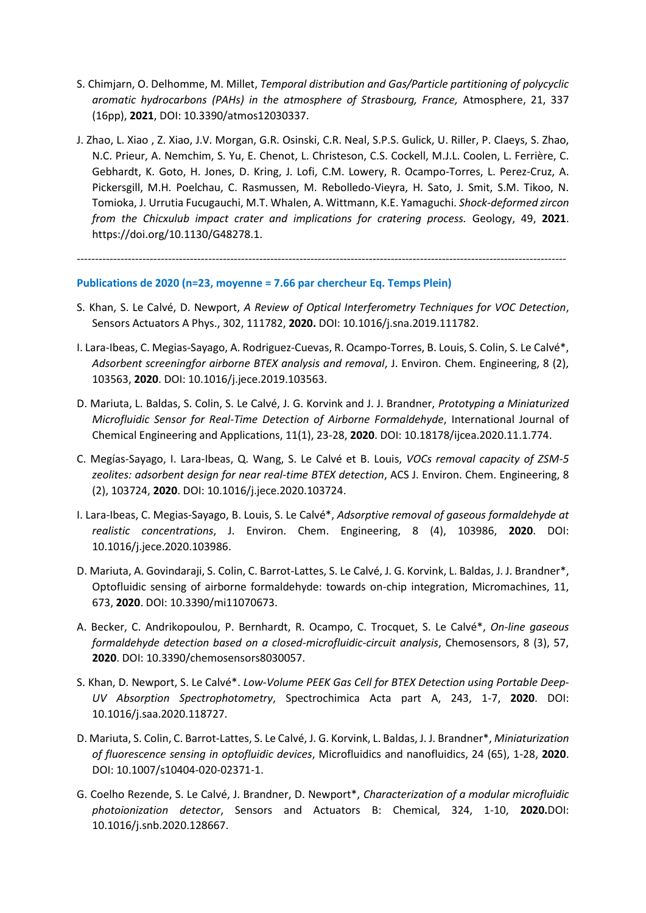- S. Chimjarn, O. Delhomme, M. Millet, *Temporal distribution and Gas/Particle partitioning of polycyclic aromatic hydrocarbons (PAHs) in the atmosphere of Strasbourg, France,* Atmosphere, 21, 337 (16pp), **2021**, DOI: 10.3390/atmos12030337.
- J. Zhao, L. Xiao , Z. Xiao, J.V. Morgan, G.R. Osinski, C.R. Neal, S.P.S. Gulick, U. Riller, P. Claeys, S. Zhao, N.C. Prieur, A. Nemchim, S. Yu, E. Chenot, L. Christeson, C.S. Cockell, M.J.L. Coolen, L. Ferrière, C. Gebhardt, K. Goto, H. Jones, D. Kring, J. Lofi, C.M. Lowery, R. Ocampo-Torres, L. Perez-Cruz, A. Pickersgill, M.H. Poelchau, C. Rasmussen, M. Rebolledo-Vieyra, H. Sato, J. Smit, S.M. Tikoo, N. Tomioka, J. Urrutia Fucugauchi, M.T. Whalen, A. Wittmann, K.E. Yamaguchi. *Shock-deformed zircon from the Chicxulub impact crater and implications for cratering process.* Geology, 49, **2021**. https://doi.org/10.1130/G48278.1.

# -------------------------------------------------------------------------------------------------------------------------------------- **Publications de 2020 (n=23, moyenne = 7.66 par chercheur Eq. Temps Plein)**

- S. Khan, S. Le Calvé, D. Newport, *A Review of Optical Interferometry Techniques for VOC Detection*, Sensors Actuators A Phys., 302, 111782, **2020.** DOI: 10.1016/j.sna.2019.111782.
- I. Lara-Ibeas, C. Megias-Sayago, A. Rodriguez-Cuevas, R. Ocampo-Torres, B. Louis, S. Colin, S. Le Calvé\*, *Adsorbent screeningfor airborne BTEX analysis and removal*, J. Environ. Chem. Engineering, 8 (2), 103563, **2020**. DOI: 10.1016/j.jece.2019.103563.
- D. Mariuta, L. Baldas, S. Colin, S. Le Calvé, J. G. Korvink and J. J. Brandner, *Prototyping a Miniaturized Microfluidic Sensor for Real-Time Detection of Airborne Formaldehyde*, International Journal of Chemical Engineering and Applications, 11(1), 23-28, **2020**. DOI: 10.18178/ijcea.2020.11.1.774.
- C. Megías-Sayago, I. Lara-Ibeas, Q. Wang, S. Le Calvé et B. Louis, *VOCs removal capacity of ZSM-5 zeolites: adsorbent design for near real-time BTEX detection*, ACS J. Environ. Chem. Engineering, 8 (2), 103724, **2020**. DOI: 10.1016/j.jece.2020.103724.
- I. Lara-Ibeas, C. Megias-Sayago, B. Louis, S. Le Calvé\*, *Adsorptive removal of gaseous formaldehyde at realistic concentrations*, J. Environ. Chem. Engineering, 8 (4), 103986, **2020**. DOI: 10.1016/j.jece.2020.103986.
- D. Mariuta, A. Govindaraji, S. Colin, C. Barrot-Lattes, S. Le Calvé, J. G. Korvink, L. Baldas, J. J. Brandner\*, Optofluidic sensing of airborne formaldehyde: towards on-chip integration, Micromachines, 11, 673, **2020**. DOI: 10.3390/mi11070673.
- A. Becker, C. Andrikopoulou, P. Bernhardt, R. Ocampo, C. Trocquet, S. Le Calvé\*, *On-line gaseous formaldehyde detection based on a closed-microfluidic-circuit analysis*, Chemosensors, 8 (3), 57, **2020**. DOI: 10.3390/chemosensors8030057.
- S. Khan, D. Newport, S. Le Calvé\*. *Low-Volume PEEK Gas Cell for BTEX Detection using Portable Deep-UV Absorption Spectrophotometry*, Spectrochimica Acta part A, 243, 1-7, **2020**. DOI: 10.1016/j.saa.2020.118727.
- D. Mariuta, S. Colin, C. Barrot-Lattes, S. Le Calvé, J. G. Korvink, L. Baldas, J. J. Brandner\*, *Miniaturization of fluorescence sensing in optofluidic devices*, Microfluidics and nanofluidics, 24 (65), 1-28, **2020**. DOI: 10.1007/s10404-020-02371-1.
- G. Coelho Rezende, S. Le Calvé, J. Brandner, D. Newport\*, *Characterization of a modular microfluidic photoionization detector*, Sensors and Actuators B: Chemical, 324, 1-10, **2020.**DOI: 10.1016/j.snb.2020.128667.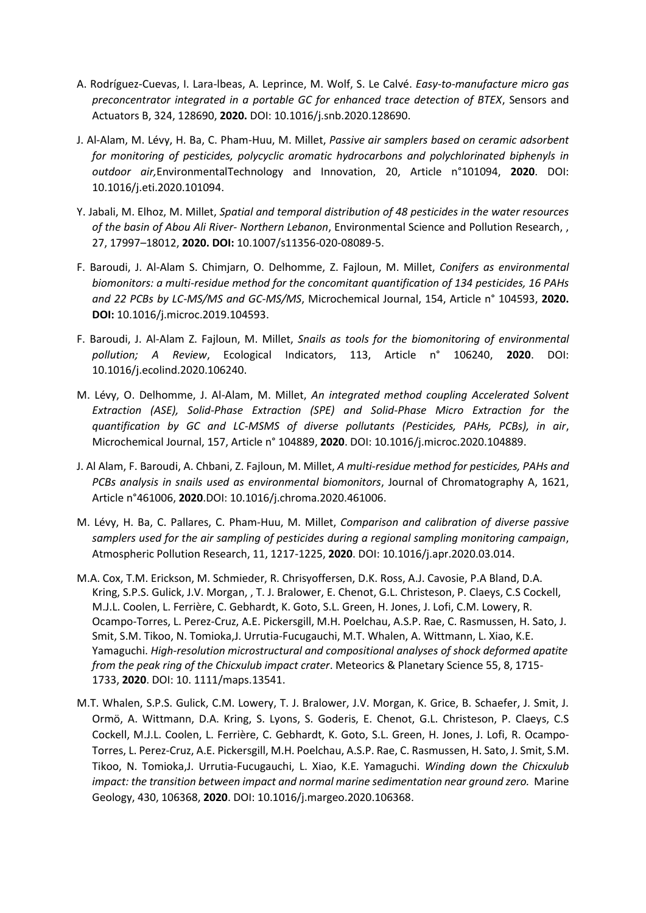- A. Rodríguez-Cuevas, I. Lara-lbeas, A. Leprince, M. Wolf, S. Le Calvé. *Easy-to-manufacture micro gas preconcentrator integrated in a portable GC for enhanced trace detection of BTEX*, Sensors and Actuators B, 324, 128690, **2020.** DOI: 10.1016/j.snb.2020.128690.
- J. Al-Alam, M. Lévy, H. Ba, C. Pham-Huu, M. Millet, *Passive air samplers based on ceramic adsorbent for monitoring of pesticides, polycyclic aromatic hydrocarbons and polychlorinated biphenyls in outdoor air,*EnvironmentalTechnology and Innovation, 20, Article n°101094, **2020**. DOI: 10.1016/j.eti.2020.101094.
- Y. Jabali, M. Elhoz, M. Millet, *Spatial and temporal distribution of 48 pesticides in the water resources of the basin of Abou Ali River- Northern Lebanon*, Environmental Science and Pollution Research, , 27, 17997–18012, **2020. DOI:** [10.1007/s11356-020-08089-5.](https://doi.org/10.1007/s11356-020-08089-5)
- F. Baroudi, J. Al-Alam S. Chimjarn, O. Delhomme, Z. Fajloun, M. Millet, *Conifers as environmental biomonitors: a multi-residue method for the concomitant quantification of 134 pesticides, 16 PAHs and 22 PCBs by LC-MS/MS and GC-MS/MS*, Microchemical Journal, 154, Article n° 104593, **2020. DOI:** [10.1016/j.microc.2019.104593.](https://doi-org.scd-rproxy.u-strasbg.fr/10.1016/j.microc.2019.104593)
- F. Baroudi, J. Al-Alam Z. Fajloun, M. Millet, *Snails as tools for the biomonitoring of environmental pollution; A Review*, Ecological Indicators, 113, Article n° 106240, **2020**. DOI: [10.1016/j.ecolind.2020.106240.](https://doi-org.scd-rproxy.u-strasbg.fr/10.1016/j.ecolind.2020.106240)
- M. Lévy, O. Delhomme, J. Al-Alam, M. Millet, *An integrated method coupling Accelerated Solvent Extraction (ASE), Solid-Phase Extraction (SPE) and Solid-Phase Micro Extraction for the quantification by GC and LC-MSMS of diverse pollutants (Pesticides, PAHs, PCBs), in air*, Microchemical Journal, 157, Article n° 104889, **2020**. DOI: [10.1016/j.microc.2020.104889.](https://doi-org.scd-rproxy.u-strasbg.fr/10.1016/j.microc.2020.104889)
- J. Al Alam, F. Baroudi, A. Chbani, Z. Fajloun, M. Millet, *A multi-residue method for pesticides, PAHs and PCBs analysis in snails used as environmental biomonitors*, Journal of Chromatography A, 1621, Article n°461006, **2020**[.DOI: 10.1016/j.chroma.2020.461006.](https://doi-org.scd-rproxy.u-strasbg.fr/10.1016/j.chroma.2020.461006)
- M. Lévy, H. Ba, C. Pallares, C. Pham-Huu, M. Millet, *Comparison and calibration of diverse passive samplers used for the air sampling of pesticides during a regional sampling monitoring campaign*, Atmospheric Pollution Research, 11, 1217-1225, **2020**. DOI[: 10.1016/j.apr.2020.03.014.](https://doi-org.scd-rproxy.u-strasbg.fr/10.1016/j.apr.2020.03.014)
- M.A. Cox, T.M. Erickson, M. Schmieder, R. Chrisyoffersen, D.K. Ross, A.J. Cavosie, P.A Bland, D.A. Kring, S.P.S. Gulick, J.V. Morgan, , T. J. Bralower, E. Chenot, G.L. Christeson, P. Claeys, C.S Cockell, M.J.L. Coolen, L. Ferrière, C. Gebhardt, K. Goto, S.L. Green, H. Jones, J. Lofi, C.M. Lowery, R. Ocampo-Torres, L. Perez-Cruz, A.E. Pickersgill, M.H. Poelchau, A.S.P. Rae, C. Rasmussen, H. Sato, J. Smit, S.M. Tikoo, N. Tomioka,J. Urrutia-Fucugauchi, M.T. Whalen, A. Wittmann, L. Xiao, K.E. Yamaguchi. *High-resolution microstructural and compositional analyses of shock deformed apatite from the peak ring of the Chicxulub impact crater*. Meteorics & Planetary Science 55, 8, 1715- 1733, **2020**. DOI: 10. 1111/maps.13541.
- M.T. Whalen, S.P.S. Gulick, C.M. Lowery, T. J. Bralower, J.V. Morgan, K. Grice, B. Schaefer, J. Smit, J. Ormö, A. Wittmann, D.A. Kring, S. Lyons, S. Goderis, E. Chenot, G.L. Christeson, P. Claeys, C.S Cockell, M.J.L. Coolen, L. Ferrière, C. Gebhardt, K. Goto, S.L. Green, H. Jones, J. Lofi, R. Ocampo-Torres, L. Perez-Cruz, A.E. Pickersgill, M.H. Poelchau, A.S.P. Rae, C. Rasmussen, H. Sato, J. Smit, S.M. Tikoo, N. Tomioka,J. Urrutia-Fucugauchi, L. Xiao, K.E. Yamaguchi. *Winding down the Chicxulub impact: the transition between impact and normal marine sedimentation near ground zero.* Marine Geology, 430, 106368, **2020**. DOI: 10.1016/j.margeo.2020.106368.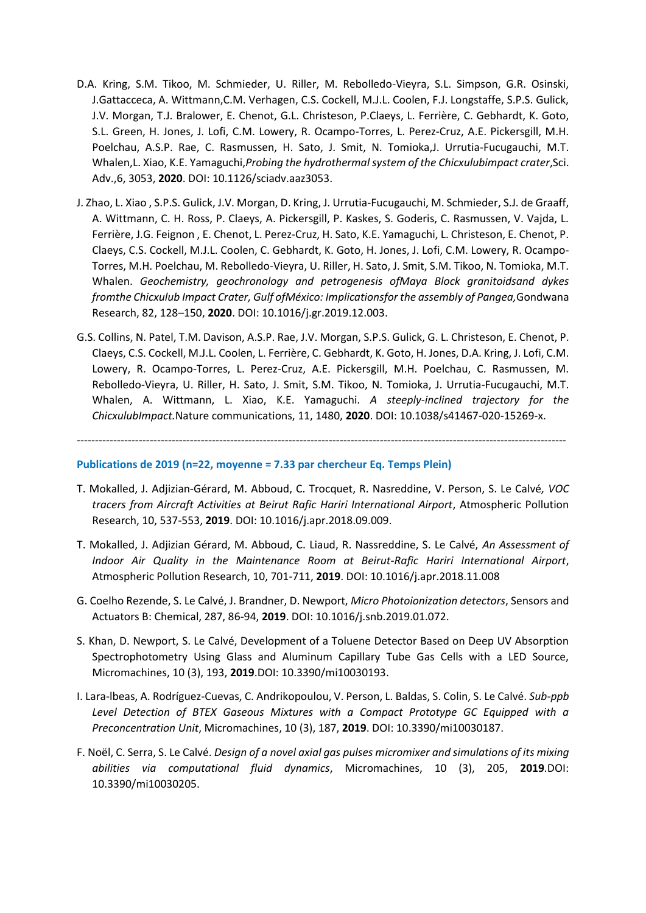- D.A. Kring, S.M. Tikoo, M. Schmieder, U. Riller, M. Rebolledo-Vieyra, S.L. Simpson, G.R. Osinski, J.Gattacceca, A. Wittmann,C.M. Verhagen, C.S. Cockell, M.J.L. Coolen, F.J. Longstaffe, S.P.S. Gulick, J.V. Morgan, T.J. Bralower, E. Chenot, G.L. Christeson, P.Claeys, L. Ferrière, C. Gebhardt, K. Goto, S.L. Green, H. Jones, J. Lofi, C.M. Lowery, R. Ocampo-Torres, L. Perez-Cruz, A.E. Pickersgill, M.H. Poelchau, A.S.P. Rae, C. Rasmussen, H. Sato, J. Smit, N. Tomioka,J. Urrutia-Fucugauchi, M.T. Whalen,L. Xiao, K.E. Yamaguchi,*Probing the hydrothermal system of the Chicxulubimpact crater*,Sci. Adv.,6, 3053, **2020**. DOI: 10.1126/sciadv.aaz3053.
- J. Zhao, L. Xiao , S.P.S. Gulick, J.V. Morgan, D. Kring, J. Urrutia-Fucugauchi, M. Schmieder, S.J. de Graaff, A. Wittmann, C. H. Ross, P. Claeys, A. Pickersgill, P. Kaskes, S. Goderis, C. Rasmussen, V. Vajda, L. Ferrière, J.G. Feignon , E. Chenot, L. Perez-Cruz, H. Sato, K.E. Yamaguchi, L. Christeson, E. Chenot, P. Claeys, C.S. Cockell, M.J.L. Coolen, C. Gebhardt, K. Goto, H. Jones, J. Lofi, C.M. Lowery, R. Ocampo-Torres, M.H. Poelchau, M. Rebolledo-Vieyra, U. Riller, H. Sato, J. Smit, S.M. Tikoo, N. Tomioka, M.T. Whalen. *Geochemistry, geochronology and petrogenesis ofMaya Block granitoidsand dykes fromthe Chicxulub Impact Crater, Gulf ofMéxico: Implicationsfor the assembly of Pangea,*Gondwana Research, 82, 128–150, **2020**. DOI: 10.1016/j.gr.2019.12.003.
- G.S. Collins, N. Patel, T.M. Davison, A.S.P. Rae, J.V. Morgan, S.P.S. Gulick, G. L. Christeson, E. Chenot, P. Claeys, C.S. Cockell, M.J.L. Coolen, L. Ferrière, C. Gebhardt, K. Goto, H. Jones, D.A. Kring, J. Lofi, C.M. Lowery, R. Ocampo-Torres, L. Perez-Cruz, A.E. Pickersgill, M.H. Poelchau, C. Rasmussen, M. Rebolledo-Vieyra, U. Riller, H. Sato, J. Smit, S.M. Tikoo, N. Tomioka, J. Urrutia-Fucugauchi, M.T. Whalen, A. Wittmann, L. Xiao, K.E. Yamaguchi. *A steeply-inclined trajectory for the ChicxulubImpact.*Nature communications, 11, 1480, **2020**. DOI: 10.1038/s41467-020-15269-x.

--------------------------------------------------------------------------------------------------------------------------------------

### **Publications de 2019 (n=22, moyenne = 7.33 par chercheur Eq. Temps Plein)**

- T. Mokalled, J. Adjizian-Gérard, M. Abboud, C. Trocquet, R. Nasreddine, V. Person, S. Le Calvé*, VOC tracers from Aircraft Activities at Beirut Rafic Hariri International Airport*, Atmospheric Pollution Research, 10, 537-553, **2019**. DOI: 10.1016/j.apr.2018.09.009.
- T. Mokalled, J. Adjizian Gérard, M. Abboud, C. Liaud, R. Nassreddine, S. Le Calvé, *An Assessment of Indoor Air Quality in the Maintenance Room at Beirut-Rafic Hariri International Airport*, Atmospheric Pollution Research, 10, 701-711, **2019**. [DOI: 10.1016/j.apr.2018.11.008](https://doi.org/10.1016/j.apr.2018.11.008)
- G. Coelho Rezende, S. Le Calvé, J. Brandner, D. Newport, *Micro Photoionization detectors*, Sensors and Actuators B: Chemical, 287, 86-94, **2019**. DOI: 10.1016/j.snb.2019.01.072.
- S. Khan, D. Newport, S. Le Calvé, Development of a Toluene Detector Based on Deep UV Absorption Spectrophotometry Using Glass and Aluminum Capillary Tube Gas Cells with a LED Source, Micromachines, 10 (3), 193, **2019**.DOI: 10.3390/mi10030193.
- I. Lara-lbeas, A. Rodríguez-Cuevas, C. Andrikopoulou, V. Person, L. Baldas, S. Colin, S. Le Calvé. *Sub-ppb Level Detection of BTEX Gaseous Mixtures with a Compact Prototype GC Equipped with a Preconcentration Unit*, Micromachines, 10 (3), 187, **2019**. DOI: 10.3390/mi10030187.
- F. Noël, C. Serra, S. Le Calvé. *Design of a novel axial gas pulses micromixer and simulations of its mixing abilities via computational fluid dynamics*, Micromachines, 10 (3), 205, **2019***.*DOI: 10.3390/mi10030205.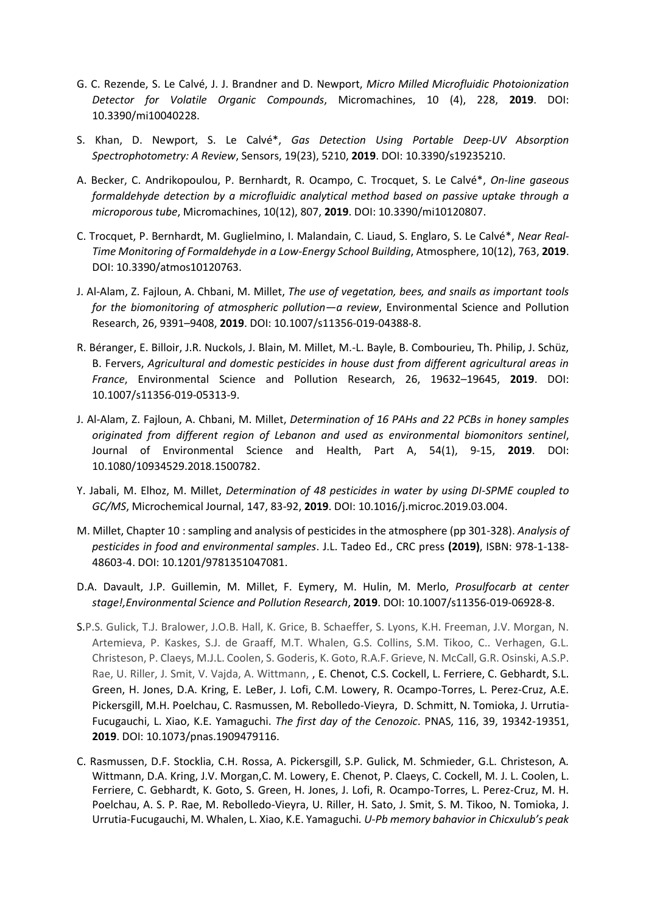- G. C. Rezende, S. Le Calvé, J. J. Brandner and D. Newport, *Micro Milled Microfluidic Photoionization Detector for Volatile Organic Compounds*, Micromachines, 10 (4), 228, **2019**. DOI: 10.3390/mi10040228.
- S. Khan, D. Newport, S. Le Calvé\*, *Gas Detection Using Portable Deep-UV Absorption Spectrophotometry: A Review*, Sensors, 19(23), 5210, **2019**[. DOI: 10.3390/s19235210.](https://doi.org/10.3390/s19235210)
- A. Becker, C. Andrikopoulou, P. Bernhardt, R. Ocampo, C. Trocquet, S. Le Calvé\*, *On-line gaseous formaldehyde detection by a microfluidic analytical method based on passive uptake through a microporous tube*, Micromachines, 10(12), 807, **2019**. DOI: [10.3390/mi10120807.](https://doi.org/10.3390/mi10120807)
- C. Trocquet, P. Bernhardt, M. Guglielmino, I. Malandain, C. Liaud, S. Englaro, S. Le Calvé\*, *Near Real-Time Monitoring of Formaldehyde in a Low-Energy School Building*, Atmosphere, 10(12), 763, **2019**. DOI: 10.3390/atmos10120763.
- J. Al-Alam, Z. Fajloun, A. Chbani, M. Millet, *The use of vegetation, bees, and snails as important tools for the biomonitoring of atmospheric pollution—a review*, Environmental Science and Pollution Research, 26, 9391–9408, **2019**. DOI[: 10.1007/s11356-019-04388-8.](https://doi.org/10.1007/s11356-019-04388-8)
- R. Béranger, E. Billoir, J.R. Nuckols, J. Blain, M. Millet, M.-L. Bayle, B. Combourieu, Th. Philip, J. Schüz, B. Fervers, *Agricultural and domestic pesticides in house dust from different agricultural areas in France*, Environmental Science and Pollution Research, 26, 19632–19645, **2019**. DOI: [10.1007/s11356-019-05313-9.](https://doi.org/10.1007/s11356-019-05313-9)
- J. Al-Alam, Z. Fajloun, A. Chbani, M. Millet, *Determination of 16 PAHs and 22 PCBs in honey samples originated from different region of Lebanon and used as environmental biomonitors sentinel*, Journal of Environmental Science and Health, Part A, 54(1), 9-15, **2019**. DOI: [10.1080/10934529.2018.1500782.](https://doi.org/10.1080/10934529.2018.1500782)
- Y. Jabali, M. Elhoz, M. Millet, *Determination of 48 pesticides in water by using DI-SPME coupled to GC/MS*, Microchemical Journal, 147, 83-92, **2019**. DOI: [10.1016/j.microc.2019.03.004.](https://doi-org.scd-rproxy.u-strasbg.fr/10.1016/j.microc.2019.03.004)
- M. Millet, Chapter 10 : sampling and analysis of pesticides in the atmosphere (pp 301-328). *Analysis of pesticides in food and environmental samples*. J.L. Tadeo Ed., CRC press **(2019)**, ISBN: 978-1-138- 48603-4. DOI: [10.1201/9781351047081.](https://doi.org/10.1201/9781351047081)
- D.A. Davault, J.P. Guillemin, M. Millet, F. Eymery, M. Hulin, M. Merlo, *Prosulfocarb at center stage!,Environmental Science and Pollution Research*, **2019**. DOI: 10.1007/s11356-019-06928-8.
- S.P.S. Gulick, T.J. Bralower, J.O.B. Hall, K. Grice, B. Schaeffer, S. Lyons, K.H. Freeman, J.V. Morgan, N. Artemieva, P. Kaskes, S.J. de Graaff, M.T. Whalen, G.S. Collins, S.M. Tikoo, C.. Verhagen, G.L. Christeson, P. Claeys, M.J.L. Coolen, S. Goderis, K. Goto, R.A.F. Grieve, N. McCall, G.R. Osinski, A.S.P. Rae, U. Riller, J. Smit, V. Vajda, A. Wittmann, , E. Chenot, C.S. Cockell, L. Ferriere, C. Gebhardt, S.L. Green, H. Jones, D.A. Kring, E. LeBer, J. Lofi, C.M. Lowery, R. Ocampo-Torres, L. Perez-Cruz, A.E. Pickersgill, M.H. Poelchau, C. Rasmussen, M. Rebolledo-Vieyra, D. Schmitt, N. Tomioka, J. Urrutia-Fucugauchi, L. Xiao, K.E. Yamaguchi. *The first day of the Cenozoic*. PNAS, 116, 39, 19342-19351, **2019**. DOI: 10.1073/pnas.1909479116.
- C. Rasmussen, D.F. Stocklia, C.H. Rossa, A. Pickersgill, S.P. Gulick, M. Schmieder, G.L. Christeson, A. Wittmann, D.A. Kring, J.V. Morgan,C. M. Lowery, E. Chenot, P. Claeys, C. Cockell, M. J. L. Coolen, L. Ferriere, C. Gebhardt, K. Goto, S. Green, H. Jones, J. Lofi, R. Ocampo-Torres, L. Perez-Cruz, M. H. Poelchau, A. S. P. Rae, M. Rebolledo-Vieyra, U. Riller, H. Sato, J. Smit, S. M. Tikoo, N. Tomioka, J. Urrutia-Fucugauchi, M. Whalen, L. Xiao, K.E. Yamaguchi*. U-Pb memory bahavior in Chicxulub's peak*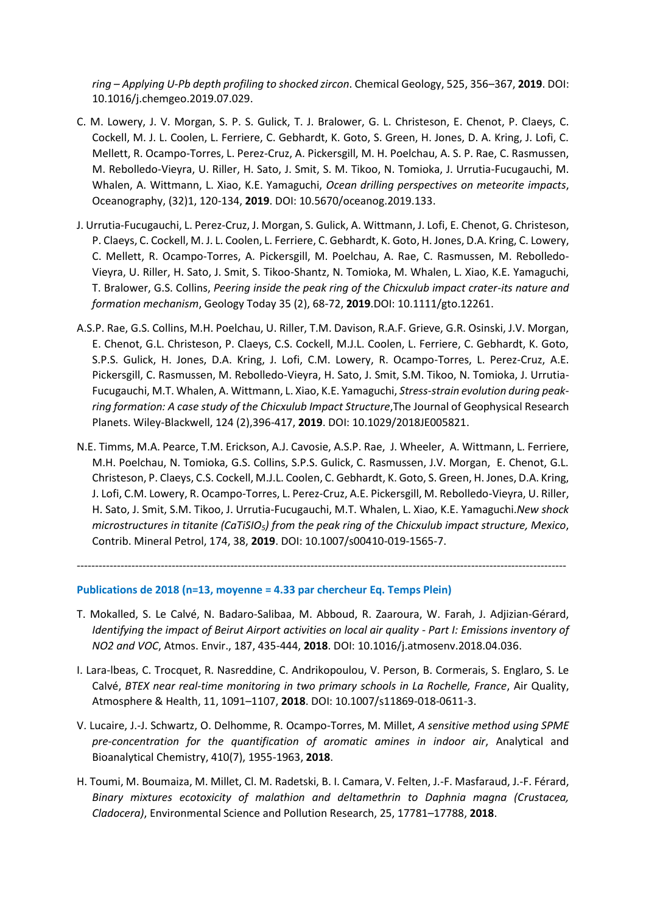*ring – Applying U-Pb depth profiling to shocked zircon*. Chemical Geology, 525, 356–367, **2019**. DOI: 10.1016/j.chemgeo.2019.07.029.

- C. M. Lowery, J. V. Morgan, S. P. S. Gulick, T. J. Bralower, G. L. Christeson, E. Chenot, P. Claeys, C. Cockell, M. J. L. Coolen, L. Ferriere, C. Gebhardt, K. Goto, S. Green, H. Jones, D. A. Kring, J. Lofi, C. Mellett, R. Ocampo-Torres, L. Perez-Cruz, A. Pickersgill, M. H. Poelchau, A. S. P. Rae, C. Rasmussen, M. Rebolledo-Vieyra, U. Riller, H. Sato, J. Smit, S. M. Tikoo, N. Tomioka, J. Urrutia-Fucugauchi, M. Whalen, A. Wittmann, L. Xiao, K.E. Yamaguchi, *Ocean drilling perspectives on meteorite impacts*, Oceanography, (32)1, 120-134, **2019**. DOI: 10.5670/oceanog.2019.133.
- J. Urrutia-Fucugauchi, L. Perez-Cruz, J. Morgan, S. Gulick, A. Wittmann, J. Lofi, E. Chenot, G. Christeson, P. Claeys, C. Cockell, M. J. L. Coolen, L. Ferriere, C. Gebhardt, K. Goto, H. Jones, D.A. Kring, C. Lowery, C. Mellett, R. Ocampo-Torres, A. Pickersgill, M. Poelchau, A. Rae, C. Rasmussen, M. Rebolledo-Vieyra, U. Riller, H. Sato, J. Smit, S. Tikoo-Shantz, N. Tomioka, M. Whalen, L. Xiao, K.E. Yamaguchi, T. Bralower, G.S. Collins, *Peering inside the peak ring of the Chicxulub impact crater-its nature and formation mechanism*, Geology Today 35 (2), 68-72, **2019**.DOI[: 10.1111/gto.12261.](https://doi.org/10.1111/gto.12261)
- A.S.P. Rae, G.S. Collins, M.H. Poelchau, U. Riller, T.M. Davison, R.A.F. Grieve, G.R. Osinski, J.V. Morgan, E. Chenot, G.L. Christeson, P. Claeys, C.S. Cockell, M.J.L. Coolen, L. Ferriere, C. Gebhardt, K. Goto, S.P.S. Gulick, H. Jones, D.A. Kring, J. Lofi, C.M. Lowery, R. Ocampo-Torres, L. Perez-Cruz, A.E. Pickersgill, C. Rasmussen, M. Rebolledo-Vieyra, H. Sato, J. Smit, S.M. Tikoo, N. Tomioka, J. Urrutia-Fucugauchi, M.T. Whalen, A. Wittmann, L. Xiao, K.E. Yamaguchi, *Stress-strain evolution during peakring formation: A case study of the Chicxulub Impact Structure*,The Journal of Geophysical Research Planets. Wiley-Blackwell, 124 (2),396-417, **2019**. DOI: 10.1029/2018JE005821.
- N.E. Timms, M.A. Pearce, T.M. Erickson, A.J. Cavosie, A.S.P. Rae, J. Wheeler, A. Wittmann, L. Ferriere, M.H. Poelchau, N. Tomioka, G.S. Collins, S.P.S. Gulick, C. Rasmussen, J.V. Morgan, E. Chenot, G.L. Christeson, P. Claeys, C.S. Cockell, M.J.L. Coolen, C. Gebhardt, K. Goto, S. Green, H. Jones, D.A. Kring, J. Lofi, C.M. Lowery, R. Ocampo-Torres, L. Perez-Cruz, A.E. Pickersgill, M. Rebolledo-Vieyra, U. Riller, H. Sato, J. Smit, S.M. Tikoo, J. Urrutia-Fucugauchi, M.T. Whalen, L. Xiao, K.E. Yamaguchi.*New shock microstructures in titanite (CaTiSIO5) from the peak ring of the Chicxulub impact structure, Mexico*, Contrib. Mineral Petrol, 174, 38, **2019**. DOI: [10.1007/s00410-019-1565-7.](https://doi.org/10.1007/s00410-019-1565-7)

**Publications de 2018 (n=13, moyenne = 4.33 par chercheur Eq. Temps Plein)**

T. Mokalled, S. Le Calvé, N. Badaro-Salibaa, M. Abboud, R. Zaaroura, W. Farah, J. Adjizian-Gérard, *Identifying the impact of Beirut Airport activities on local air quality - Part I: Emissions inventory of NO2 and VOC*, Atmos. Envir., 187, 435-444, **2018**. DOI: [10.1016/j.atmosenv.2018.04.036.](https://doi.org/10.1016/j.atmosenv.2018.04.036)

--------------------------------------------------------------------------------------------------------------------------------------

- I. Lara-lbeas, C. Trocquet, R. Nasreddine, C. Andrikopoulou, V. Person, B. Cormerais, S. Englaro, S. Le Calvé, *BTEX near real-time monitoring in two primary schools in La Rochelle, France*, Air Quality, Atmosphere & Health, 11, 1091–1107, **2018**. DOI: 10.1007/s11869-018-0611-3.
- V. Lucaire, J.-J. Schwartz, O. Delhomme, R. Ocampo-Torres, M. Millet, *A sensitive method using SPME pre-concentration for the quantification of aromatic amines in indoor air*, Analytical and Bioanalytical Chemistry, 410(7), 1955-1963, **2018**.
- H. Toumi, M. Boumaiza, M. Millet, Cl. M. Radetski, B. I. Camara, V. Felten, J.-F. Masfaraud, J.-F. Férard, *Binary mixtures ecotoxicity of malathion and deltamethrin to Daphnia magna (Crustacea, Cladocera)*, Environmental Science and Pollution Research, 25, 17781–17788, **2018**.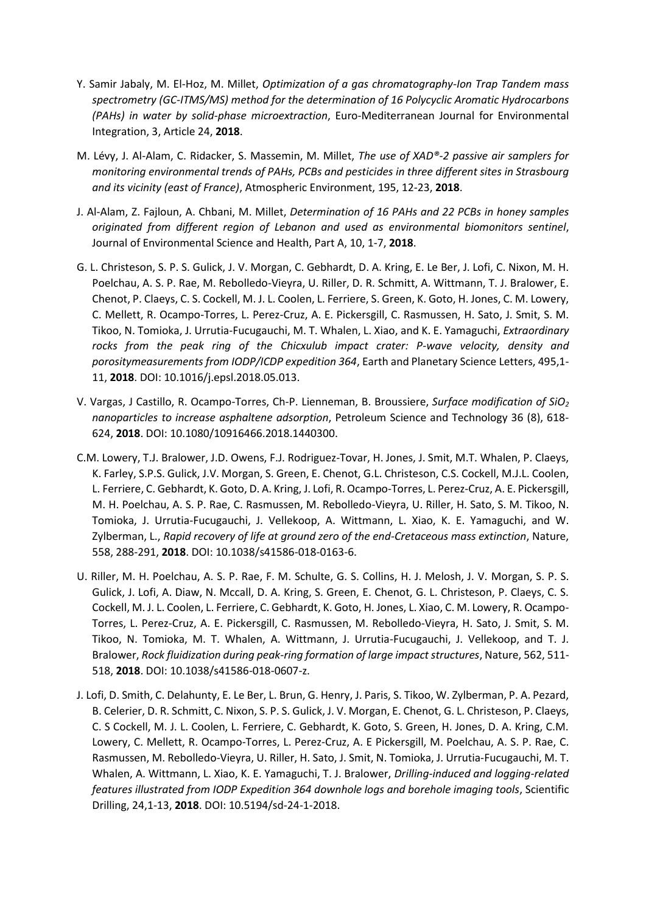- Y. Samir Jabaly, M. El-Hoz, M. Millet, *Optimization of a gas chromatography-Ion Trap Tandem mass spectrometry (GC-ITMS/MS) method for the determination of 16 Polycyclic Aromatic Hydrocarbons (PAHs) in water by solid-phase microextraction*, Euro-Mediterranean Journal for Environmental Integration, 3, Article 24, **2018**.
- M. Lévy, J. Al-Alam, C. Ridacker, S. Massemin, M. Millet, *The use of XAD®-2 passive air samplers for monitoring environmental trends of PAHs, PCBs and pesticides in three different sites in Strasbourg and its vicinity (east of France)*, Atmospheric Environment, 195, 12-23, **2018**.
- J. Al-Alam, Z. Fajloun, A. Chbani, M. Millet, *Determination of 16 PAHs and 22 PCBs in honey samples originated from different region of Lebanon and used as environmental biomonitors sentinel*, Journal of Environmental Science and Health, Part A, 10, 1-7, **2018**.
- G. L. Christeson, S. P. S. Gulick, J. V. Morgan, C. Gebhardt, D. A. Kring, E. Le Ber, J. Lofi, C. Nixon, M. H. Poelchau, A. S. P. Rae, M. Rebolledo-Vieyra, U. Riller, D. R. Schmitt, A. Wittmann, T. J. Bralower, E. Chenot, P. Claeys, C. S. Cockell, M. J. L. Coolen, L. Ferriere, S. Green, K. Goto, H. Jones, C. M. Lowery, C. Mellett, R. Ocampo-Torres, L. Perez-Cruz, A. E. Pickersgill, C. Rasmussen, H. Sato, J. Smit, S. M. Tikoo, N. Tomioka, J. Urrutia-Fucugauchi, M. T. Whalen, L. Xiao, and K. E. Yamaguchi, *Extraordinary rocks from the peak ring of the Chicxulub impact crater: P-wave velocity, density and porositymeasurements from IODP/ICDP expedition 364*, Earth and Planetary Science Letters, 495,1- 11, **2018**. DOI: 10.1016/j.epsl.2018.05.013.
- V. Vargas, J Castillo, R. Ocampo-Torres, Ch-P. Lienneman, B. Broussiere, *Surface modification of SiO<sup>2</sup> nanoparticles to increase asphaltene adsorption*, Petroleum Science and Technology 36 (8), 618- 624, **2018**. DOI: 10.1080/10916466.2018.1440300.
- C.M. Lowery, T.J. Bralower, J.D. Owens, F.J. Rodriguez-Tovar, H. Jones, J. Smit, M.T. Whalen, P. Claeys, K. Farley, S.P.S. Gulick, J.V. Morgan, S. Green, E. Chenot, G.L. Christeson, C.S. Cockell, M.J.L. Coolen, L. Ferriere, C. Gebhardt, K. Goto, D. A. Kring, J. Lofi, R. Ocampo-Torres, L. Perez-Cruz, A. E. Pickersgill, M. H. Poelchau, A. S. P. Rae, C. Rasmussen, M. Rebolledo-Vieyra, U. Riller, H. Sato, S. M. Tikoo, N. Tomioka, J. Urrutia-Fucugauchi, J. Vellekoop, A. Wittmann, L. Xiao, K. E. Yamaguchi, and W. Zylberman, L., *Rapid recovery of life at ground zero of the end-Cretaceous mass extinction*, Nature, 558, 288-291, **2018**. DOI: 10.1038/s41586-018-0163-6.
- U. Riller, M. H. Poelchau, A. S. P. Rae, F. M. Schulte, G. S. Collins, H. J. Melosh, J. V. Morgan, S. P. S. Gulick, J. Lofi, A. Diaw, N. Mccall, D. A. Kring, S. Green, E. Chenot, G. L. Christeson, P. Claeys, C. S. Cockell, M. J. L. Coolen, L. Ferriere, C. Gebhardt, K. Goto, H. Jones, L. Xiao, C. M. Lowery, R. Ocampo-Torres, L. Perez-Cruz, A. E. Pickersgill, C. Rasmussen, M. Rebolledo-Vieyra, H. Sato, J. Smit, S. M. Tikoo, N. Tomioka, M. T. Whalen, A. Wittmann, J. Urrutia-Fucugauchi, J. Vellekoop, and T. J. Bralower, *Rock fluidization during peak-ring formation of large impact structures*, Nature, 562, 511- 518, **2018**. DOI: 10.1038/s41586-018-0607-z.
- J. Lofi, D. Smith, C. Delahunty, E. Le Ber, L. Brun, G. Henry, J. Paris, S. Tikoo, W. Zylberman, P. A. Pezard, B. Celerier, D. R. Schmitt, C. Nixon, S. P. S. Gulick, J. V. Morgan, E. Chenot, G. L. Christeson, P. Claeys, C. S Cockell, M. J. L. Coolen, L. Ferriere, C. Gebhardt, K. Goto, S. Green, H. Jones, D. A. Kring, C.M. Lowery, C. Mellett, R. Ocampo-Torres, L. Perez-Cruz, A. E Pickersgill, M. Poelchau, A. S. P. Rae, C. Rasmussen, M. Rebolledo-Vieyra, U. Riller, H. Sato, J. Smit, N. Tomioka, J. Urrutia-Fucugauchi, M. T. Whalen, A. Wittmann, L. Xiao, K. E. Yamaguchi, T. J. Bralower, *Drilling-induced and logging-related features illustrated from IODP Expedition 364 downhole logs and borehole imaging tools*, Scientific Drilling, 24,1-13, **2018**. DOI: 10.5194/sd-24-1-2018.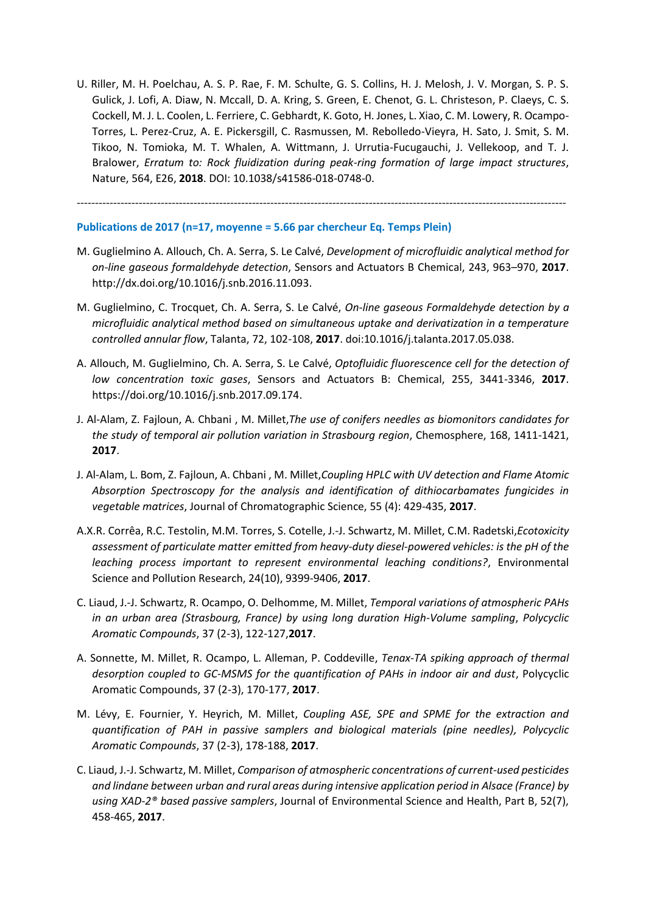U. Riller, M. H. Poelchau, A. S. P. Rae, F. M. Schulte, G. S. Collins, H. J. Melosh, J. V. Morgan, S. P. S. Gulick, J. Lofi, A. Diaw, N. Mccall, D. A. Kring, S. Green, E. Chenot, G. L. Christeson, P. Claeys, C. S. Cockell, M. J. L. Coolen, L. Ferriere, C. Gebhardt, K. Goto, H. Jones, L. Xiao, C. M. Lowery, R. Ocampo-Torres, L. Perez-Cruz, A. E. Pickersgill, C. Rasmussen, M. Rebolledo-Vieyra, H. Sato, J. Smit, S. M. Tikoo, N. Tomioka, M. T. Whalen, A. Wittmann, J. Urrutia-Fucugauchi, J. Vellekoop, and T. J. Bralower, *Erratum to: Rock fluidization during peak-ring formation of large impact structures*, Nature, 564, E26, **2018**. DOI: 10.1038/s41586-018-0748-0.

--------------------------------------------------------------------------------------------------------------------------------------

**Publications de 2017 (n=17, moyenne = 5.66 par chercheur Eq. Temps Plein)**

- M. Guglielmino A. Allouch, Ch. A. Serra, S. Le Calvé, *Development of microfluidic analytical method for on-line gaseous formaldehyde detection*, Sensors and Actuators B Chemical, 243, 963–970, **2017**. http://dx.doi.org/10.1016/j.snb.2016.11.093.
- M. Guglielmino, C. Trocquet, Ch. A. Serra, S. Le Calvé, *On-line gaseous Formaldehyde detection by a microfluidic analytical method based on simultaneous uptake and derivatization in a temperature controlled annular flow*, Talanta, 72, 102-108, **2017**. doi:10.1016/j.talanta.2017.05.038.
- A. Allouch, M. Guglielmino, Ch. A. Serra, S. Le Calvé, *Optofluidic fluorescence cell for the detection of low concentration toxic gases*, Sensors and Actuators B: Chemical, 255, 3441-3346, **2017**. https://doi.org/10.1016/j.snb.2017.09.174.
- J. Al-Alam, Z. Fajloun, A. Chbani , M. Millet,*The use of conifers needles as biomonitors candidates for the study of temporal air pollution variation in Strasbourg region*, Chemosphere, 168, 1411-1421, **2017**.
- J. Al-Alam, L. Bom, Z. Fajloun, A. Chbani , M. Millet,*Coupling HPLC with UV detection and Flame Atomic Absorption Spectroscopy for the analysis and identification of dithiocarbamates fungicides in vegetable matrices*, Journal of Chromatographic Science, 55 (4): 429-435, **2017**.
- A.X.R. Corrêa, R.C. Testolin, M.M. Torres, S. Cotelle, J.-J. Schwartz, M. Millet, C.M. Radetski,*Ecotoxicity assessment of particulate matter emitted from heavy-duty diesel-powered vehicles: is the pH of the leaching process important to represent environmental leaching conditions?*, Environmental Science and Pollution Research, 24(10), 9399-9406, **2017**.
- C. Liaud, J.-J. Schwartz, R. Ocampo, O. Delhomme, M. Millet, *Temporal variations of atmospheric PAHs in an urban area (Strasbourg, France) by using long duration High-Volume sampling*, *Polycyclic Aromatic Compounds*, 37 (2-3), 122-127,**2017**.
- A. Sonnette, M. Millet, R. Ocampo, L. Alleman, P. Coddeville, *Tenax-TA spiking approach of thermal desorption coupled to GC-MSMS for the quantification of PAHs in indoor air and dust*, Polycyclic Aromatic Compounds, 37 (2-3), 170-177, **2017**.
- M. Lévy, E. Fournier, Y. Heyrich, M. Millet, *Coupling ASE, SPE and SPME for the extraction and quantification of PAH in passive samplers and biological materials (pine needles), Polycyclic Aromatic Compounds*, 37 (2-3), 178-188, **2017**.
- C. Liaud, J.-J. Schwartz, M. Millet, *Comparison of atmospheric concentrations of current-used pesticides and lindane between urban and rural areas during intensive application period in Alsace (France) by using XAD-2® based passive samplers*, Journal of Environmental Science and Health, Part B, 52(7), 458-465, **2017**.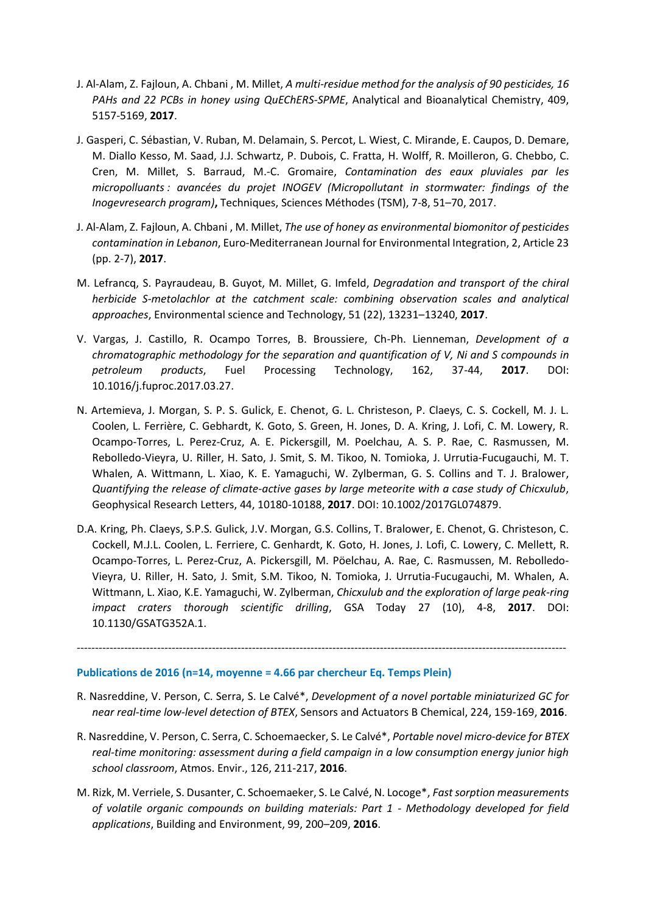- J. Al-Alam, Z. Fajloun, A. Chbani , M. Millet, *A multi-residue method for the analysis of 90 pesticides, 16 PAHs and 22 PCBs in honey using QuEChERS-SPME*, Analytical and Bioanalytical Chemistry, 409, 5157-5169, **2017**.
- J. Gasperi, C. Sébastian, V. Ruban, M. Delamain, S. Percot, L. Wiest, C. Mirande, E. Caupos, D. Demare, M. Diallo Kesso, M. Saad, J.J. Schwartz, P. Dubois, C. Fratta, H. Wolff, R. Moilleron, G. Chebbo, C. Cren, M. Millet, S. Barraud, M.-C. Gromaire, *Contamination des eaux pluviales par les micropolluants : avancées du projet INOGEV (Micropollutant in stormwater: findings of the Inogevresearch program)***,** Techniques, Sciences Méthodes (TSM), 7-8, 51–70, 2017.
- J. Al-Alam, Z. Fajloun, A. Chbani , M. Millet, *The use of honey as environmental biomonitor of pesticides contamination in Lebanon*, Euro-Mediterranean Journal for Environmental Integration, 2, Article 23 (pp. 2-7), **2017**.
- M. Lefrancq, S. Payraudeau, B. Guyot, M. Millet, G. Imfeld, *Degradation and transport of the chiral herbicide S-metolachlor at the catchment scale: combining observation scales and analytical approaches*, Environmental science and Technology, 51 (22), 13231–13240, **2017**.
- V. Vargas, J. Castillo, R. Ocampo Torres, B. Broussiere, Ch-Ph. Lienneman, *Development of a chromatographic methodology for the separation and quantification of V, Ni and S compounds in petroleum products*, Fuel Processing Technology, 162, 37-44, **2017**. DOI: 10.1016/j.fuproc.2017.03.27.
- N. Artemieva, J. Morgan, S. P. S. Gulick, E. Chenot, G. L. Christeson, P. Claeys, C. S. Cockell, M. J. L. Coolen, L. Ferrière, C. Gebhardt, K. Goto, S. Green, H. Jones, D. A. Kring, J. Lofi, C. M. Lowery, R. Ocampo-Torres, L. Perez-Cruz, A. E. Pickersgill, M. Poelchau, A. S. P. Rae, C. Rasmussen, M. Rebolledo-Vieyra, U. Riller, H. Sato, J. Smit, S. M. Tikoo, N. Tomioka, J. Urrutia-Fucugauchi, M. T. Whalen, A. Wittmann, L. Xiao, K. E. Yamaguchi, W. Zylberman, G. S. Collins and T. J. Bralower, *Quantifying the release of climate-active gases by large meteorite with a case study of Chicxulub*, Geophysical Research Letters, 44, 10180-10188, **2017**. DOI: 10.1002/2017GL074879.
- D.A. Kring, Ph. Claeys, S.P.S. Gulick, J.V. Morgan, G.S. Collins, T. Bralower, E. Chenot, G. Christeson, C. Cockell, M.J.L. Coolen, L. Ferriere, C. Genhardt, K. Goto, H. Jones, J. Lofi, C. Lowery, C. Mellett, R. Ocampo-Torres, L. Perez-Cruz, A. Pickersgill, M. Pöelchau, A. Rae, C. Rasmussen, M. Rebolledo-Vieyra, U. Riller, H. Sato, J. Smit, S.M. Tikoo, N. Tomioka, J. Urrutia-Fucugauchi, M. Whalen, A. Wittmann, L. Xiao, K.E. Yamaguchi, W. Zylberman, *Chicxulub and the exploration of large peak-ring impact craters thorough scientific drilling*, GSA Today 27 (10), 4-8, **2017**. DOI: 10.1130/GSATG352A.1.

#### **Publications de 2016 (n=14, moyenne = 4.66 par chercheur Eq. Temps Plein)**

R. Nasreddine, V. Person, C. Serra, S. Le Calvé\*, *Development of a novel portable miniaturized GC for near real-time low-level detection of BTEX*, Sensors and Actuators B Chemical, 224, 159-169, **2016**.

--------------------------------------------------------------------------------------------------------------------------------------

- R. Nasreddine, V. Person, C. Serra, C. Schoemaecker, S. Le Calvé\*, *Portable novel micro-device for BTEX real-time monitoring: assessment during a field campaign in a low consumption energy junior high school classroom*, Atmos. Envir., 126, 211-217, **2016**.
- M. Rizk, M. Verriele, S. Dusanter, C. Schoemaeker, S. Le Calvé, N. Locoge\*, *Fast sorption measurements of volatile organic compounds on building materials: Part 1 - Methodology developed for field applications*, Building and Environment, 99, 200–209, **2016**.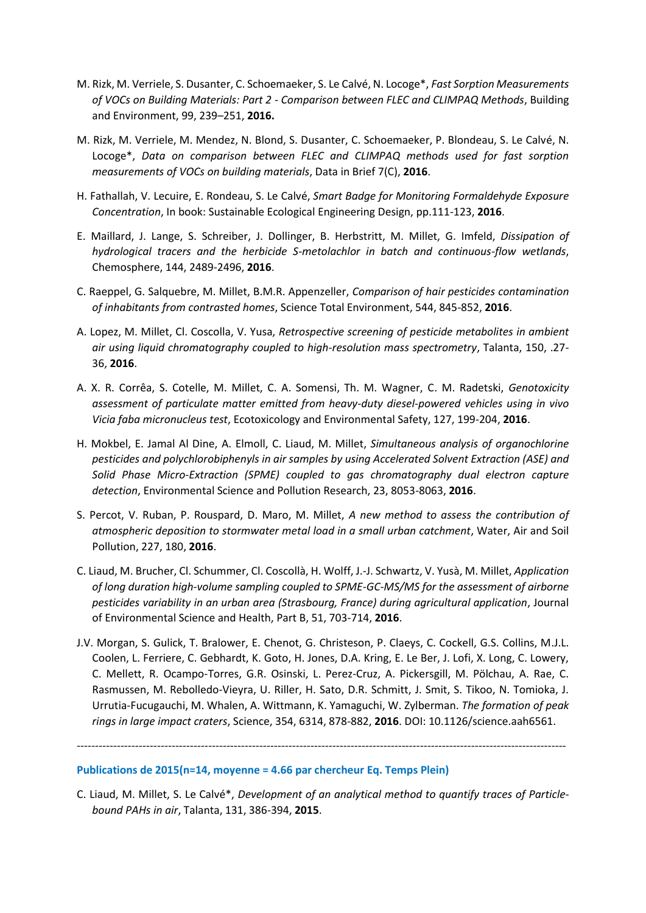- M. Rizk, M. Verriele, S. Dusanter, C. Schoemaeker, S. Le Calvé, N. Locoge\*, *Fast Sorption Measurements of VOCs on Building Materials: Part 2 - Comparison between FLEC and CLIMPAQ Methods*, Building and Environment, 99, 239–251, **2016.**
- M. Rizk, M. Verriele, M. Mendez, N. Blond, S. Dusanter, C. Schoemaeker, P. Blondeau, S. Le Calvé, N. Locoge\*, *Data on comparison between FLEC and CLIMPAQ methods used for fast sorption measurements of VOCs on building materials*, Data in Brief 7(C), **2016**.
- H. Fathallah, V. Lecuire, E. Rondeau, S. Le Calvé, *Smart Badge for Monitoring Formaldehyde Exposure Concentration*, In book: Sustainable Ecological Engineering Design, pp.111-123, **2016**.
- E. Maillard, J. Lange, S. Schreiber, J. Dollinger, B. Herbstritt, M. Millet, G. Imfeld, *Dissipation of hydrological tracers and the herbicide S-metolachlor in batch and continuous-flow wetlands*, Chemosphere, 144, 2489-2496, **2016**.
- C. Raeppel, G. Salquebre, M. Millet, B.M.R. Appenzeller, *Comparison of hair pesticides contamination of inhabitants from contrasted homes*, Science Total Environment, 544, 845-852, **2016**.
- A. Lopez, M. Millet, Cl. Coscolla, V. Yusa, *Retrospective screening of pesticide metabolites in ambient air using liquid chromatography coupled to high-resolution mass spectrometry*, Talanta, 150, .27- 36, **2016**.
- A. X. R. Corrêa, S. Cotelle, M. Millet, C. A. Somensi, Th. M. Wagner, C. M. Radetski, *Genotoxicity assessment of particulate matter emitted from heavy-duty diesel-powered vehicles using in vivo Vicia faba micronucleus test*, Ecotoxicology and Environmental Safety, 127, 199-204, **2016**.
- H. Mokbel, E. Jamal Al Dine, A. Elmoll, C. Liaud, M. Millet, *Simultaneous analysis of organochlorine pesticides and polychlorobiphenyls in air samples by using Accelerated Solvent Extraction (ASE) and Solid Phase Micro-Extraction (SPME) coupled to gas chromatography dual electron capture detection*, Environmental Science and Pollution Research, 23, 8053-8063, **2016**.
- S. Percot, V. Ruban, P. Rouspard, D. Maro, M. Millet, *A new method to assess the contribution of atmospheric deposition to stormwater metal load in a small urban catchment*, Water, Air and Soil Pollution, 227, 180, **2016**.
- C. Liaud, M. Brucher, Cl. Schummer, Cl. Coscollà, H. Wolff, J.-J. Schwartz, V. Yusà, M. Millet, *Application of long duration high-volume sampling coupled to SPME-GC-MS/MS for the assessment of airborne pesticides variability in an urban area (Strasbourg, France) during agricultural application*, Journal of Environmental Science and Health, Part B, 51, 703-714, **2016**.
- J.V. Morgan, S. Gulick, T. Bralower, E. Chenot, G. Christeson, P. Claeys, C. Cockell, G.S. Collins, M.J.L. Coolen, L. Ferriere, C. Gebhardt, K. Goto, H. Jones, D.A. Kring, E. Le Ber, J. Lofi, X. Long, C. Lowery, C. Mellett, R. Ocampo-Torres, G.R. Osinski, L. Perez-Cruz, A. Pickersgill, M. Pölchau, A. Rae, C. Rasmussen, M. Rebolledo-Vieyra, U. Riller, H. Sato, D.R. Schmitt, J. Smit, S. Tikoo, N. Tomioka, J. Urrutia-Fucugauchi, M. Whalen, A. Wittmann, K. Yamaguchi, W. Zylberman. *The formation of peak rings in large impact craters*, Science, 354, 6314, 878-882, **2016**. DOI: 10.1126/science.aah6561.

--------------------------------------------------------------------------------------------------------------------------------------

## **Publications de 2015(n=14, moyenne = 4.66 par chercheur Eq. Temps Plein)**

C. Liaud, M. Millet, S. Le Calvé\*, *Development of an analytical method to quantify traces of Particlebound PAHs in air*, Talanta, 131, 386-394, **2015**.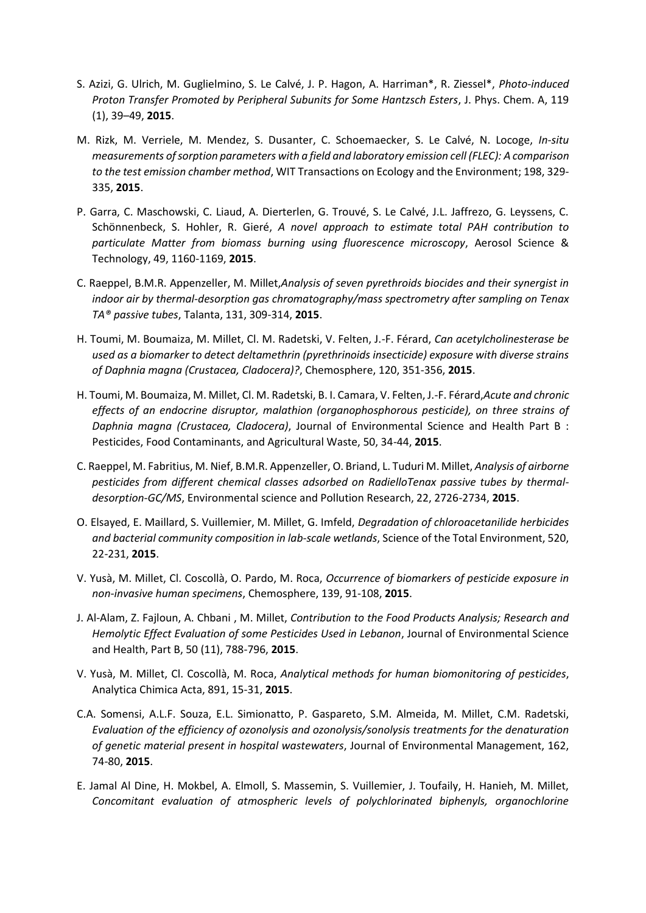- S. Azizi, G. Ulrich, M. Guglielmino, S. Le Calvé, J. P. Hagon, A. Harriman\*, R. Ziessel\*, *Photo-induced Proton Transfer Promoted by Peripheral Subunits for Some Hantzsch Esters*, J. Phys. Chem. A, 119 (1), 39–49, **2015**.
- M. Rizk, M. Verriele, M. Mendez, S. Dusanter, C. Schoemaecker, S. Le Calvé, N. Locoge, *In-situ measurements of sorption parameters with a field and laboratory emission cell (FLEC): A comparison to the test emission chamber method*, WIT Transactions on Ecology and the Environment; 198, 329- 335, **2015**.
- P. Garra, C. Maschowski, C. Liaud, A. Dierterlen, G. Trouvé, S. Le Calvé, J.L. Jaffrezo, G. Leyssens, C. Schönnenbeck, S. Hohler, R. Gieré, *A novel approach to estimate total PAH contribution to particulate Matter from biomass burning using fluorescence microscopy*, Aerosol Science & Technology, 49, 1160-1169, **2015**.
- C. Raeppel, B.M.R. Appenzeller, M. Millet,*Analysis of seven pyrethroids biocides and their synergist in indoor air by thermal-desorption gas chromatography/mass spectrometry after sampling on Tenax TA® passive tubes*, Talanta, 131, 309-314, **2015**.
- H. Toumi, M. Boumaiza, M. Millet, Cl. M. Radetski, V. Felten, J.-F. Férard, *Can acetylcholinesterase be used as a biomarker to detect deltamethrin (pyrethrinoids insecticide) exposure with diverse strains of Daphnia magna (Crustacea, Cladocera)?*, Chemosphere, 120, 351-356, **2015**.
- H. Toumi, M. Boumaiza, M. Millet, Cl. M. Radetski, B. I. Camara, V. Felten, J.-F. Férard,*Acute and chronic effects of an endocrine disruptor, malathion (organophosphorous pesticide), on three strains of Daphnia magna (Crustacea, Cladocera)*, Journal of Environmental Science and Health Part B : Pesticides, Food Contaminants, and Agricultural Waste, 50, 34-44, **2015**.
- C. Raeppel, M. Fabritius, M. Nief, B.M.R. Appenzeller, O. Briand, L. Tuduri M. Millet, *Analysis of airborne pesticides from different chemical classes adsorbed on RadielloTenax passive tubes by thermaldesorption-GC/MS*, Environmental science and Pollution Research, 22, 2726-2734, **2015**.
- O. Elsayed, E. Maillard, S. Vuillemier, M. Millet, G. Imfeld, *Degradation of chloroacetanilide herbicides and bacterial community composition in lab-scale wetlands*, Science of the Total Environment, 520, 22-231, **2015**.
- V. Yusà, M. Millet, Cl. Coscollà, O. Pardo, M. Roca, *Occurrence of biomarkers of pesticide exposure in non-invasive human specimens*, Chemosphere, 139, 91-108, **2015**.
- J. Al-Alam, Z. Fajloun, A. Chbani , M. Millet, *Contribution to the Food Products Analysis; Research and Hemolytic Effect Evaluation of some Pesticides Used in Lebanon*, Journal of Environmental Science and Health, Part B, 50 (11), 788-796, **2015**.
- V. Yusà, M. Millet, Cl. Coscollà, M. Roca, *Analytical methods for human biomonitoring of pesticides*, Analytica Chimica Acta, 891, 15-31, **2015**.
- C.A. Somensi, A.L.F. Souza, E.L. Simionatto, P. Gaspareto, S.M. Almeida, M. Millet, C.M. Radetski, *Evaluation of the efficiency of ozonolysis and ozonolysis/sonolysis treatments for the denaturation of genetic material present in hospital wastewaters*, Journal of Environmental Management, 162, 74-80, **2015**.
- E. Jamal Al Dine, H. Mokbel, A. Elmoll, S. Massemin, S. Vuillemier, J. Toufaily, H. Hanieh, M. Millet, *Concomitant evaluation of atmospheric levels of polychlorinated biphenyls, organochlorine*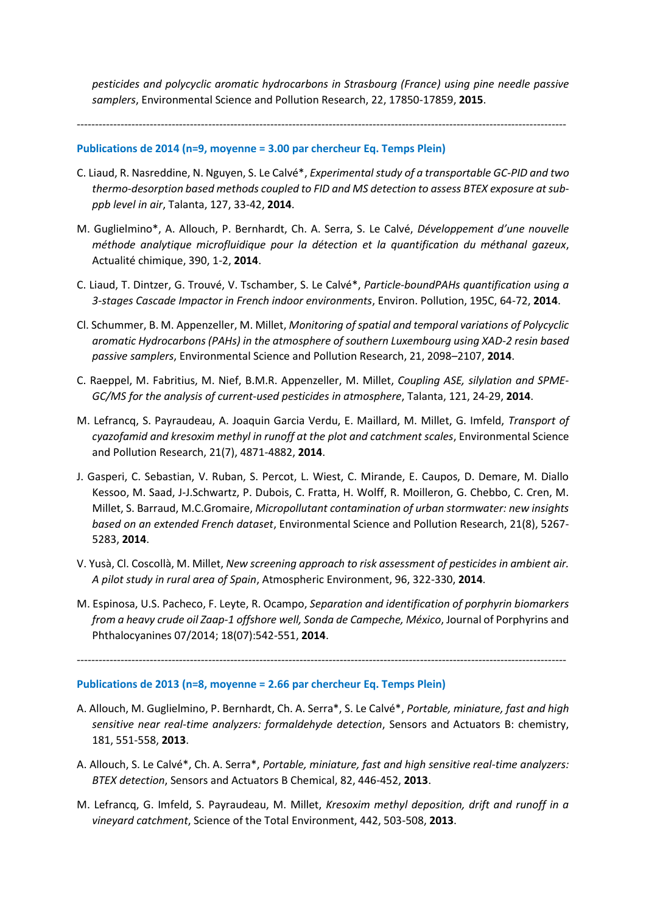*pesticides and polycyclic aromatic hydrocarbons in Strasbourg (France) using pine needle passive samplers*, Environmental Science and Pollution Research, 22, 17850-17859, **2015**.

## --------------------------------------------------------------------------------------------------------------------------------------

# **Publications de 2014 (n=9, moyenne = 3.00 par chercheur Eq. Temps Plein)**

- C. Liaud, R. Nasreddine, N. Nguyen, S. Le Calvé\*, *Experimental study of a transportable GC-PID and two thermo-desorption based methods coupled to FID and MS detection to assess BTEX exposure at subppb level in air*, Talanta, 127, 33-42, **2014**.
- M. Guglielmino\*, A. Allouch, P. Bernhardt, Ch. A. Serra, S. Le Calvé, *Développement d'une nouvelle méthode analytique microfluidique pour la détection et la quantification du méthanal gazeux*, Actualité chimique, 390, 1-2, **2014**.
- C. Liaud, T. Dintzer, G. Trouvé, V. Tschamber, S. Le Calvé\*, *Particle-boundPAHs quantification using a 3-stages Cascade Impactor in French indoor environments*, Environ. Pollution, 195C, 64-72, **2014**.
- Cl. Schummer, B. M. Appenzeller, M. Millet, *Monitoring of spatial and temporal variations of Polycyclic aromatic Hydrocarbons (PAHs) in the atmosphere of southern Luxembourg using XAD-2 resin based passive samplers*, Environmental Science and Pollution Research, 21, 2098–2107, **2014**.
- C. Raeppel, M. Fabritius, M. Nief, B.M.R. Appenzeller, M. Millet, *Coupling ASE, silylation and SPME-GC/MS for the analysis of current-used pesticides in atmosphere*, Talanta, 121, 24-29, **2014**.
- M. Lefrancq, S. Payraudeau, A. Joaquin Garcia Verdu, E. Maillard, M. Millet, G. Imfeld, *Transport of cyazofamid and kresoxim methyl in runoff at the plot and catchment scales*, Environmental Science and Pollution Research, 21(7), 4871-4882, **2014**.
- J. Gasperi, C. Sebastian, V. Ruban, S. Percot, L. Wiest, C. Mirande, E. Caupos, D. Demare, M. Diallo Kessoo, M. Saad, J-J.Schwartz, P. Dubois, C. Fratta, H. Wolff, R. Moilleron, G. Chebbo, C. Cren, M. Millet, S. Barraud, M.C.Gromaire, *Micropollutant contamination of urban stormwater: new insights based on an extended French dataset*, Environmental Science and Pollution Research, 21(8), 5267- 5283, **2014**.
- V. Yusà, Cl. Coscollà, M. Millet, *New screening approach to risk assessment of pesticides in ambient air. A pilot study in rural area of Spain*, Atmospheric Environment, 96, 322-330, **2014**.
- M. Espinosa, U.S. Pacheco, F. Leyte, R. Ocampo, *Separation and identification of porphyrin biomarkers from a heavy crude oil Zaap-1 offshore well, Sonda de Campeche, México*, Journal of Porphyrins and Phthalocyanines 07/2014; 18(07):542-551, **2014**.

--------------------------------------------------------------------------------------------------------------------------------------

# **Publications de 2013 (n=8, moyenne = 2.66 par chercheur Eq. Temps Plein)**

- A. Allouch, M. Guglielmino, P. Bernhardt, Ch. A. Serra\*, S. Le Calvé\*, *Portable, miniature, fast and high sensitive near real-time analyzers: formaldehyde detection*, Sensors and Actuators B: chemistry, 181, 551-558, **2013**.
- A. Allouch, S. Le Calvé\*, Ch. A. Serra\*, *Portable, miniature, fast and high sensitive real-time analyzers: BTEX detection*, Sensors and Actuators B Chemical, 82, 446-452, **2013**.
- M. Lefrancq, G. Imfeld, S. Payraudeau, M. Millet, *Kresoxim methyl deposition, drift and runoff in a vineyard catchment*, Science of the Total Environment, 442, 503-508, **2013**.